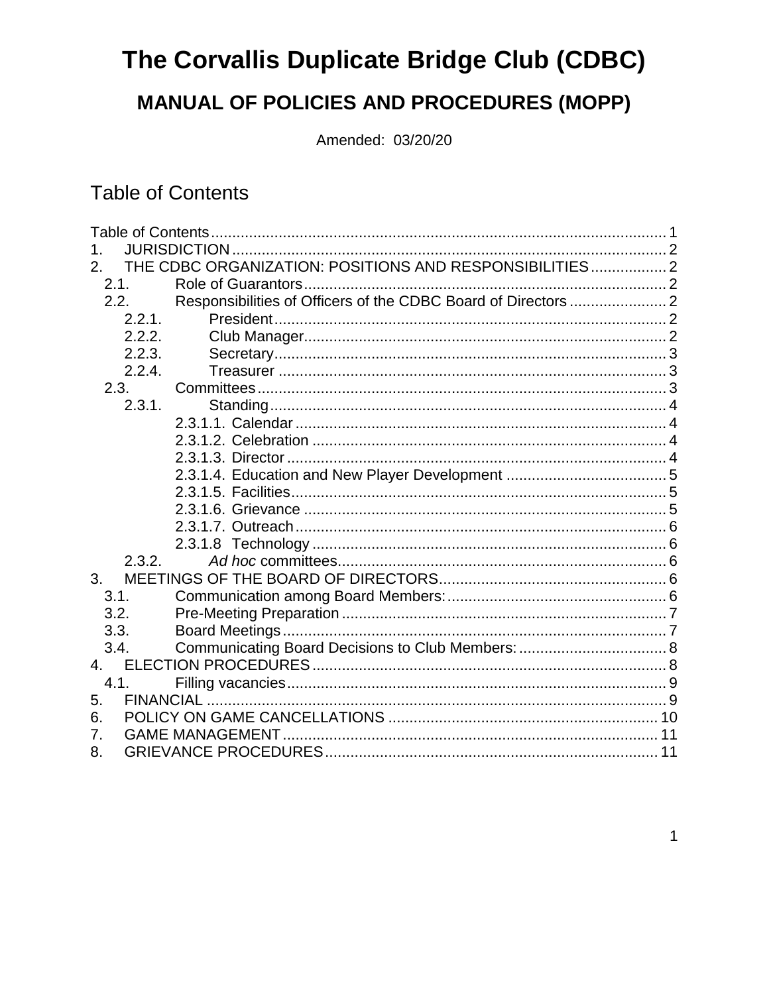# The Corvallis Duplicate Bridge Club (CDBC)

## **MANUAL OF POLICIES AND PROCEDURES (MOPP)**

Amended: 03/20/20

## <span id="page-0-0"></span>**Table of Contents**

| $\mathbf 1$ .  |                                                        |  |
|----------------|--------------------------------------------------------|--|
| 2.             | THE CDBC ORGANIZATION: POSITIONS AND RESPONSIBILITIES2 |  |
| 2.1.           |                                                        |  |
| 2.2.           |                                                        |  |
| 2.2.1.         |                                                        |  |
| 2.2.2.         |                                                        |  |
| 2.2.3.         |                                                        |  |
| 2.2.4.         |                                                        |  |
| 2.3.           |                                                        |  |
| 2.3.1.         |                                                        |  |
|                |                                                        |  |
|                |                                                        |  |
|                |                                                        |  |
|                |                                                        |  |
|                |                                                        |  |
|                |                                                        |  |
|                |                                                        |  |
|                |                                                        |  |
| 2.3.2.         |                                                        |  |
| 3 <sub>1</sub> |                                                        |  |
| 3.1.           |                                                        |  |
| 3.2.           |                                                        |  |
| 3.3.           |                                                        |  |
| 3.4.           |                                                        |  |
| 4.             |                                                        |  |
| 4.1.           |                                                        |  |
| 5.             |                                                        |  |
| 6.             |                                                        |  |
| 7.             |                                                        |  |
| 8.             |                                                        |  |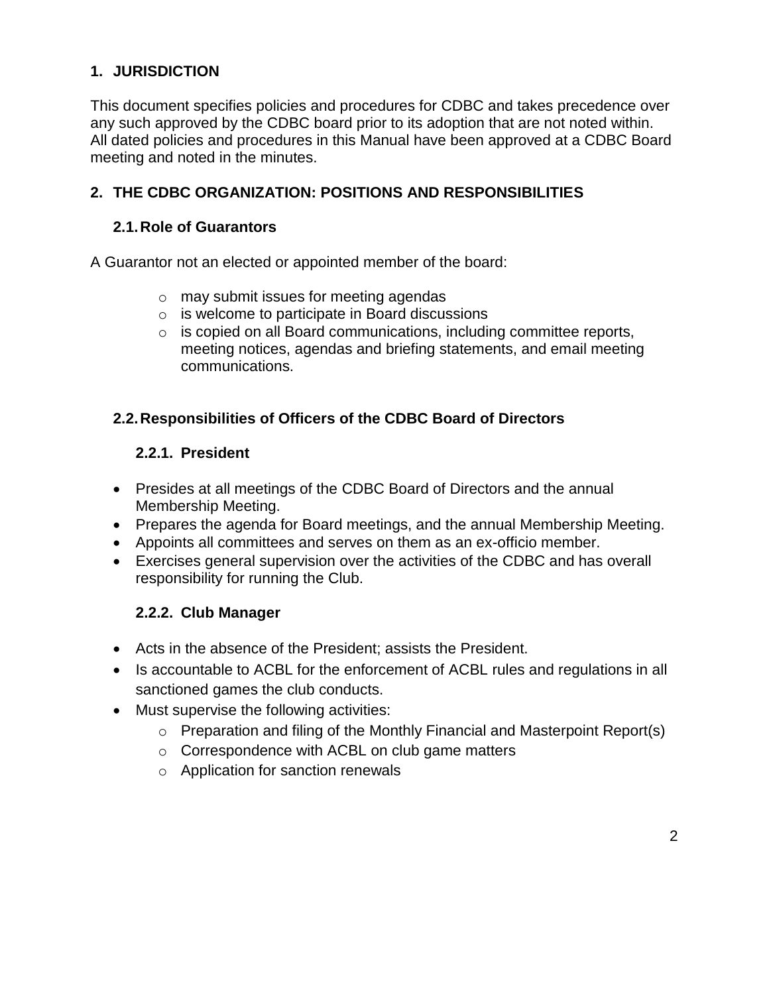#### <span id="page-1-0"></span>**1. JURISDICTION**

This document specifies policies and procedures for CDBC and takes precedence over any such approved by the CDBC board prior to its adoption that are not noted within. All dated policies and procedures in this Manual have been approved at a CDBC Board meeting and noted in the minutes.

#### <span id="page-1-1"></span>**2. THE CDBC ORGANIZATION: POSITIONS AND RESPONSIBILITIES**

#### <span id="page-1-2"></span>**2.1.Role of Guarantors**

A Guarantor not an elected or appointed member of the board:

- o may submit issues for meeting agendas
- o is welcome to participate in Board discussions
- o is copied on all Board communications, including committee reports, meeting notices, agendas and briefing statements, and email meeting communications.

#### <span id="page-1-4"></span><span id="page-1-3"></span>**2.2.Responsibilities of Officers of the CDBC Board of Directors**

#### **2.2.1. President**

- Presides at all meetings of the CDBC Board of Directors and the annual Membership Meeting.
- Prepares the agenda for Board meetings, and the annual Membership Meeting.
- Appoints all committees and serves on them as an ex-officio member.
- Exercises general supervision over the activities of the CDBC and has overall responsibility for running the Club.

## **2.2.2. Club Manager**

- <span id="page-1-5"></span>Acts in the absence of the President; assists the President.
- Is accountable to ACBL for the enforcement of ACBL rules and regulations in all sanctioned games the club conducts.
- Must supervise the following activities:
	- o Preparation and filing of the Monthly Financial and Masterpoint Report(s)
	- o Correspondence with ACBL on club game matters
	- o Application for sanction renewals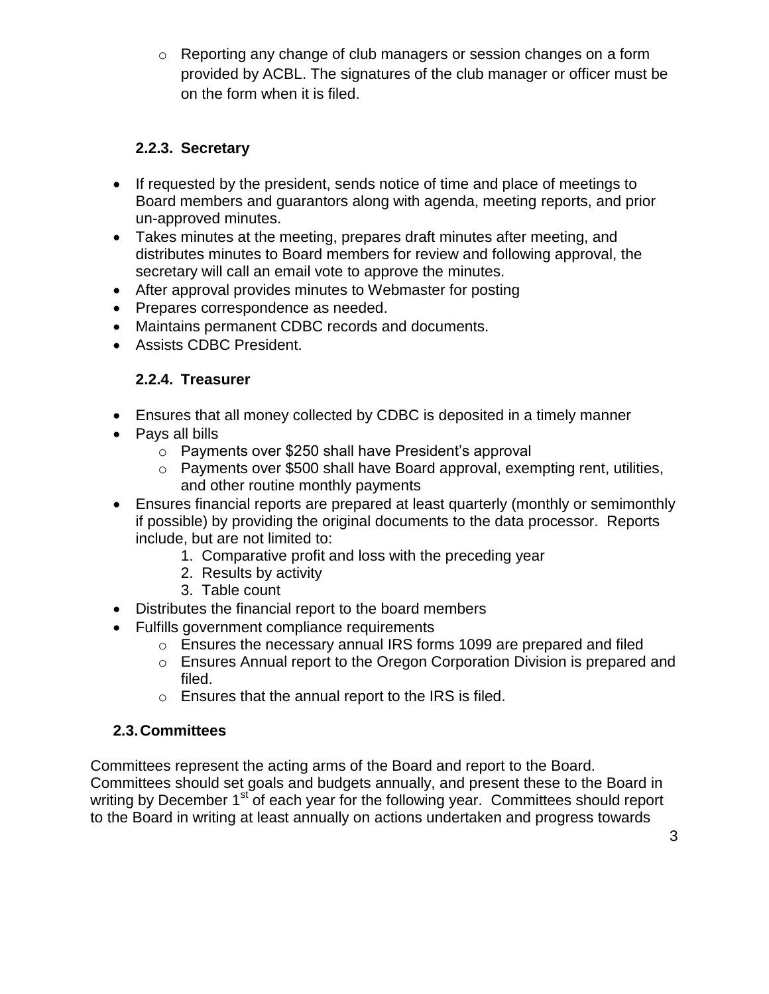o Reporting any change of club managers or session changes on a form provided by ACBL. The signatures of the club manager or officer must be on the form when it is filed.

#### **2.2.3. Secretary**

- <span id="page-2-0"></span>• If requested by the president, sends notice of time and place of meetings to Board members and guarantors along with agenda, meeting reports, and prior un-approved minutes.
- Takes minutes at the meeting, prepares draft minutes after meeting, and distributes minutes to Board members for review and following approval, the secretary will call an email vote to approve the minutes.
- After approval provides minutes to Webmaster for posting
- Prepares correspondence as needed.
- Maintains permanent CDBC records and documents.
- <span id="page-2-1"></span>Assists CDBC President.

#### **2.2.4. Treasurer**

- Ensures that all money collected by CDBC is deposited in a timely manner
- Pays all bills
	- o Payments over \$250 shall have President's approval
	- o Payments over \$500 shall have Board approval, exempting rent, utilities, and other routine monthly payments
- Ensures financial reports are prepared at least quarterly (monthly or semimonthly if possible) by providing the original documents to the data processor. Reports include, but are not limited to:
	- 1. Comparative profit and loss with the preceding year
	- 2. Results by activity
	- 3. Table count
- Distributes the financial report to the board members
- Fulfills government compliance requirements
	- o Ensures the necessary annual IRS forms 1099 are prepared and filed
	- o Ensures Annual report to the Oregon Corporation Division is prepared and filed.
	- o Ensures that the annual report to the IRS is filed.

## <span id="page-2-2"></span>**2.3.Committees**

Committees represent the acting arms of the Board and report to the Board. Committees should set goals and budgets annually, and present these to the Board in writing by December 1<sup>st</sup> of each year for the following year. Committees should report to the Board in writing at least annually on actions undertaken and progress towards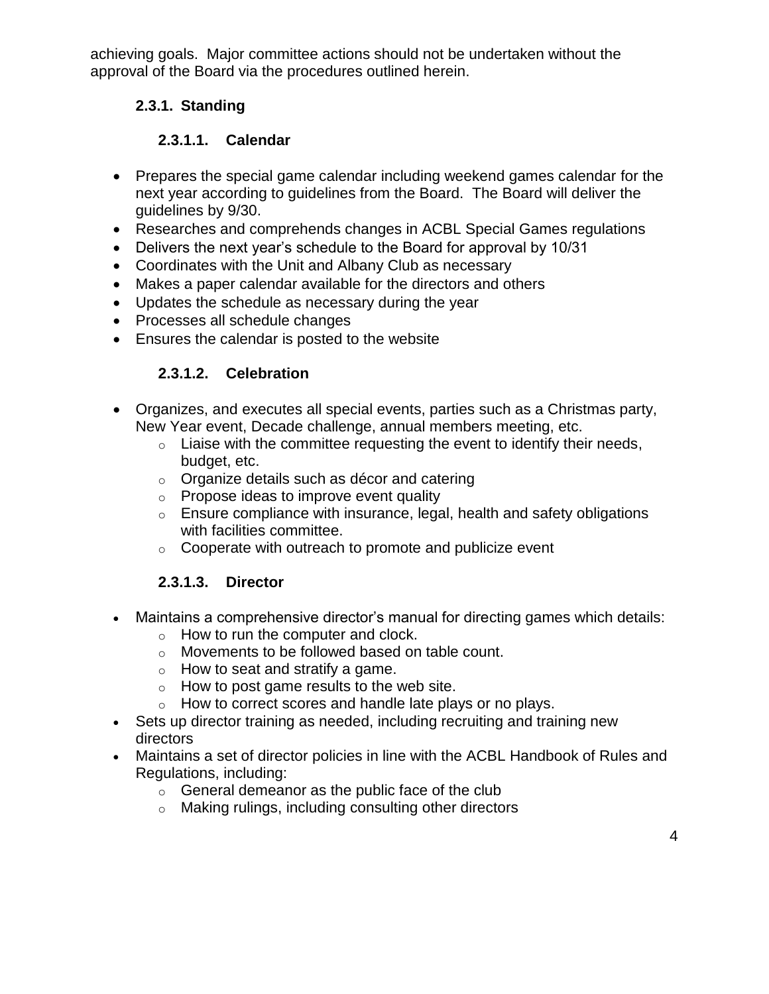achieving goals. Major committee actions should not be undertaken without the approval of the Board via the procedures outlined herein.

## <span id="page-3-0"></span>**2.3.1. Standing**

## **2.3.1.1. Calendar**

- <span id="page-3-1"></span>• Prepares the special game calendar including weekend games calendar for the next year according to guidelines from the Board. The Board will deliver the guidelines by 9/30.
- Researches and comprehends changes in ACBL Special Games regulations
- Delivers the next year's schedule to the Board for approval by 10/31
- Coordinates with the Unit and Albany Club as necessary
- Makes a paper calendar available for the directors and others
- Updates the schedule as necessary during the year
- Processes all schedule changes
- <span id="page-3-2"></span>Ensures the calendar is posted to the website

## **2.3.1.2. Celebration**

- Organizes, and executes all special events, parties such as a Christmas party, New Year event, Decade challenge, annual members meeting, etc.
	- $\circ$  Liaise with the committee requesting the event to identify their needs, budget, etc.
	- o Organize details such as décor and catering
	- o Propose ideas to improve event quality
	- o Ensure compliance with insurance, legal, health and safety obligations with facilities committee.
	- $\circ$  Cooperate with outreach to promote and publicize event

## **2.3.1.3. Director**

- <span id="page-3-3"></span> Maintains a comprehensive director's manual for directing games which details:
	- $\circ$  How to run the computer and clock.
	- o Movements to be followed based on table count.
	- $\circ$  How to seat and stratify a game.
	- $\circ$  How to post game results to the web site.
	- o How to correct scores and handle late plays or no plays.
- Sets up director training as needed, including recruiting and training new directors
- Maintains a set of director policies in line with the ACBL Handbook of Rules and Regulations, including:
	- $\circ$  General demeanor as the public face of the club
	- o Making rulings, including consulting other directors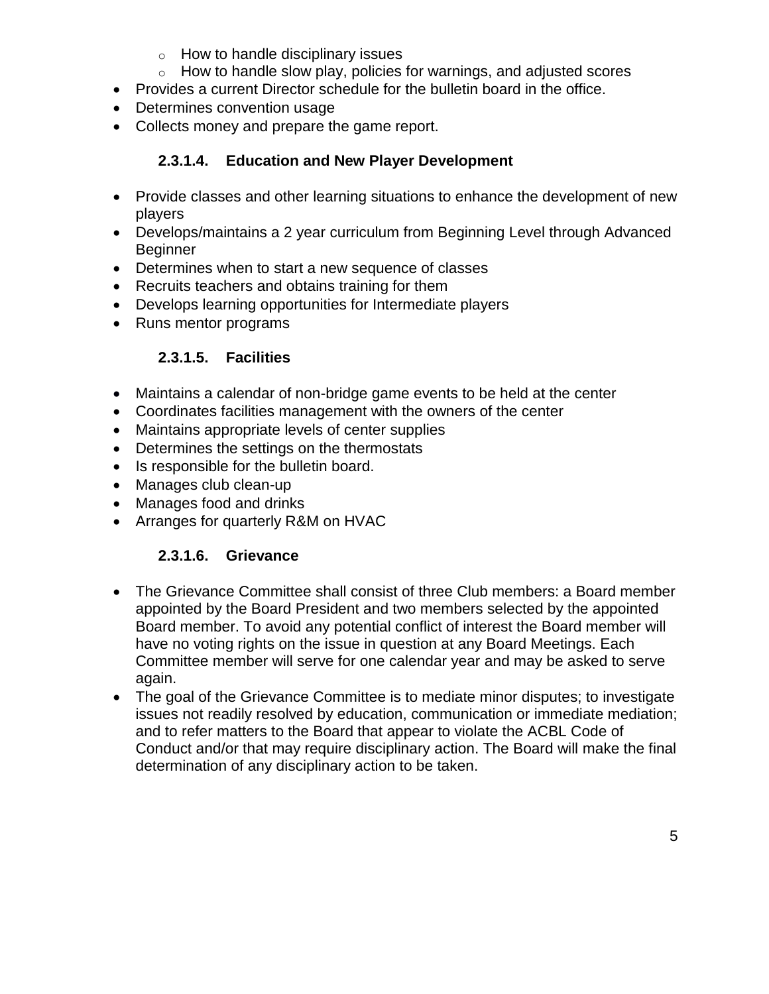- $\circ$  How to handle disciplinary issues
- $\circ$  How to handle slow play, policies for warnings, and adjusted scores
- Provides a current Director schedule for the bulletin board in the office.
- Determines convention usage
- Collects money and prepare the game report.

## **2.3.1.4. Education and New Player Development**

- <span id="page-4-0"></span>• Provide classes and other learning situations to enhance the development of new players
- Develops/maintains a 2 year curriculum from Beginning Level through Advanced **Beginner**
- Determines when to start a new sequence of classes
- Recruits teachers and obtains training for them
- Develops learning opportunities for Intermediate players
- <span id="page-4-1"></span>• Runs mentor programs

## **2.3.1.5. Facilities**

- Maintains a calendar of non-bridge game events to be held at the center
- Coordinates facilities management with the owners of the center
- Maintains appropriate levels of center supplies
- Determines the settings on the thermostats
- Is responsible for the bulletin board.
- Manages club clean-up
- Manages food and drinks
- Arranges for quarterly R&M on HVAC

## **2.3.1.6. Grievance**

- <span id="page-4-2"></span> The Grievance Committee shall consist of three Club members: a Board member appointed by the Board President and two members selected by the appointed Board member. To avoid any potential conflict of interest the Board member will have no voting rights on the issue in question at any Board Meetings. Each Committee member will serve for one calendar year and may be asked to serve again.
- The goal of the Grievance Committee is to mediate minor disputes; to investigate issues not readily resolved by education, communication or immediate mediation; and to refer matters to the Board that appear to violate the ACBL Code of Conduct and/or that may require disciplinary action. The Board will make the final determination of any disciplinary action to be taken.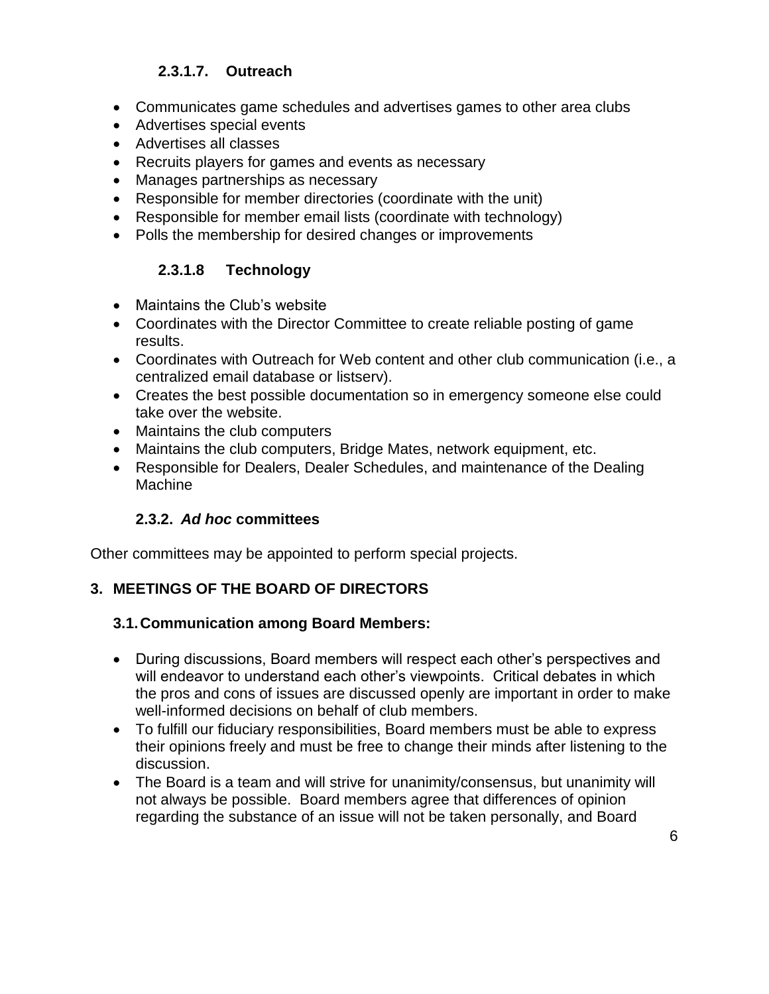#### **2.3.1.7. Outreach**

- <span id="page-5-0"></span>Communicates game schedules and advertises games to other area clubs
- Advertises special events
- Advertises all classes
- Recruits players for games and events as necessary
- Manages partnerships as necessary
- Responsible for member directories (coordinate with the unit)
- Responsible for member email lists (coordinate with technology)
- Polls the membership for desired changes or improvements

#### **2.3.1.8 Technology**

- <span id="page-5-1"></span>Maintains the Club's website
- Coordinates with the Director Committee to create reliable posting of game results.
- Coordinates with Outreach for Web content and other club communication (i.e., a centralized email database or listserv).
- Creates the best possible documentation so in emergency someone else could take over the website.
- Maintains the club computers
- Maintains the club computers, Bridge Mates, network equipment, etc.
- Responsible for Dealers, Dealer Schedules, and maintenance of the Dealing Machine

#### **2.3.2.** *Ad hoc* **committees**

<span id="page-5-2"></span>Other committees may be appointed to perform special projects.

#### <span id="page-5-3"></span>**3. MEETINGS OF THE BOARD OF DIRECTORS**

#### <span id="page-5-4"></span>**3.1.Communication among Board Members:**

- During discussions, Board members will respect each other's perspectives and will endeavor to understand each other's viewpoints. Critical debates in which the pros and cons of issues are discussed openly are important in order to make well-informed decisions on behalf of club members.
- To fulfill our fiduciary responsibilities, Board members must be able to express their opinions freely and must be free to change their minds after listening to the discussion.
- The Board is a team and will strive for unanimity/consensus, but unanimity will not always be possible. Board members agree that differences of opinion regarding the substance of an issue will not be taken personally, and Board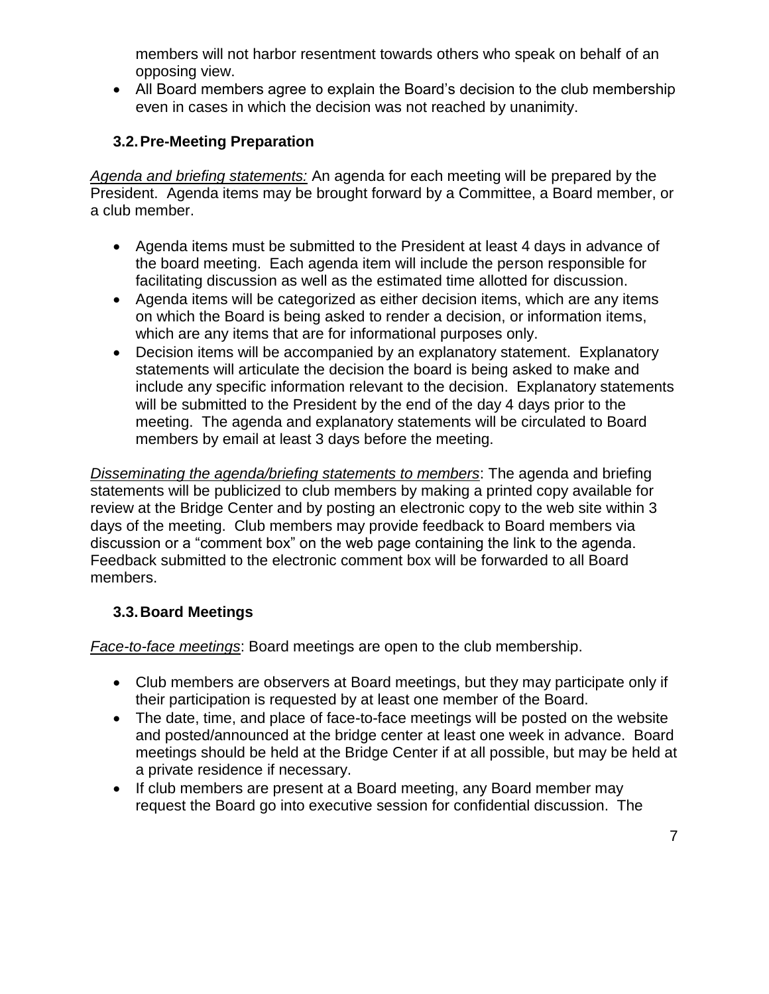members will not harbor resentment towards others who speak on behalf of an opposing view.

 All Board members agree to explain the Board's decision to the club membership even in cases in which the decision was not reached by unanimity.

## <span id="page-6-0"></span>**3.2.Pre-Meeting Preparation**

*Agenda and briefing statements:* An agenda for each meeting will be prepared by the President. Agenda items may be brought forward by a Committee, a Board member, or a club member.

- Agenda items must be submitted to the President at least 4 days in advance of the board meeting. Each agenda item will include the person responsible for facilitating discussion as well as the estimated time allotted for discussion.
- Agenda items will be categorized as either decision items, which are any items on which the Board is being asked to render a decision, or information items, which are any items that are for informational purposes only.
- Decision items will be accompanied by an explanatory statement. Explanatory statements will articulate the decision the board is being asked to make and include any specific information relevant to the decision. Explanatory statements will be submitted to the President by the end of the day 4 days prior to the meeting. The agenda and explanatory statements will be circulated to Board members by email at least 3 days before the meeting.

*Disseminating the agenda/briefing statements to members*: The agenda and briefing statements will be publicized to club members by making a printed copy available for review at the Bridge Center and by posting an electronic copy to the web site within 3 days of the meeting. Club members may provide feedback to Board members via discussion or a "comment box" on the web page containing the link to the agenda. Feedback submitted to the electronic comment box will be forwarded to all Board members.

## <span id="page-6-1"></span>**3.3.Board Meetings**

*Face-to-face meetings*: Board meetings are open to the club membership.

- Club members are observers at Board meetings, but they may participate only if their participation is requested by at least one member of the Board.
- The date, time, and place of face-to-face meetings will be posted on the website and posted/announced at the bridge center at least one week in advance. Board meetings should be held at the Bridge Center if at all possible, but may be held at a private residence if necessary.
- If club members are present at a Board meeting, any Board member may request the Board go into executive session for confidential discussion. The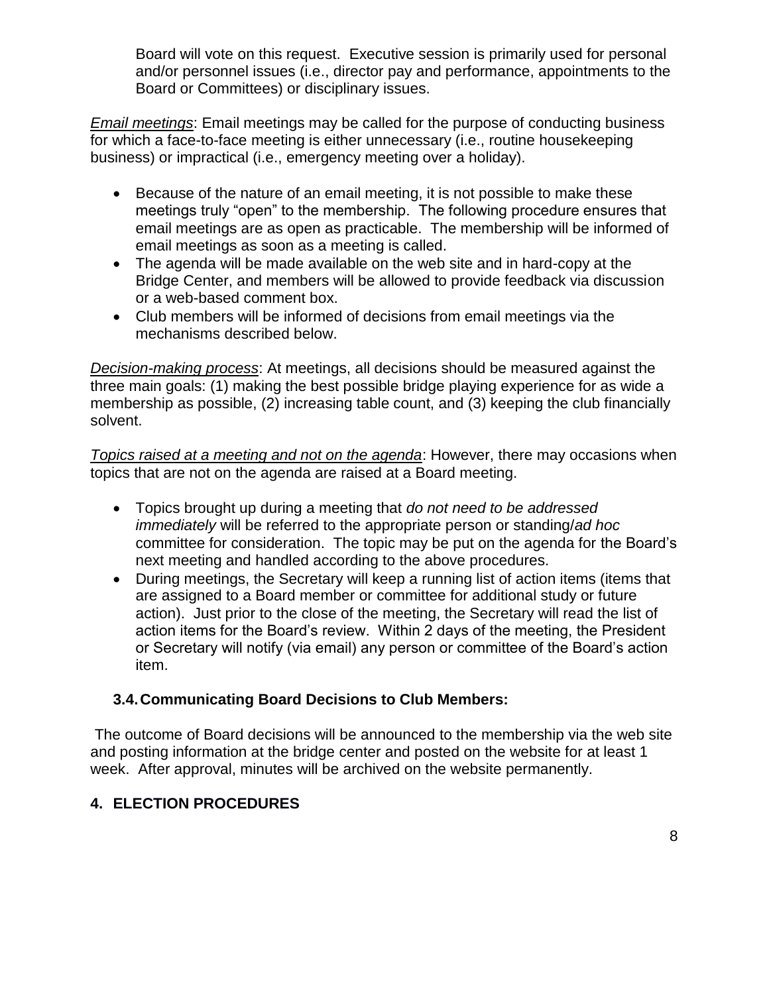Board will vote on this request. Executive session is primarily used for personal and/or personnel issues (i.e., director pay and performance, appointments to the Board or Committees) or disciplinary issues.

*Email meetings*: Email meetings may be called for the purpose of conducting business for which a face-to-face meeting is either unnecessary (i.e., routine housekeeping business) or impractical (i.e., emergency meeting over a holiday).

- Because of the nature of an email meeting, it is not possible to make these meetings truly "open" to the membership. The following procedure ensures that email meetings are as open as practicable. The membership will be informed of email meetings as soon as a meeting is called.
- The agenda will be made available on the web site and in hard-copy at the Bridge Center, and members will be allowed to provide feedback via discussion or a web-based comment box.
- Club members will be informed of decisions from email meetings via the mechanisms described below.

*Decision-making process*: At meetings, all decisions should be measured against the three main goals: (1) making the best possible bridge playing experience for as wide a membership as possible, (2) increasing table count, and (3) keeping the club financially solvent.

*Topics raised at a meeting and not on the agenda*: However, there may occasions when topics that are not on the agenda are raised at a Board meeting.

- Topics brought up during a meeting that *do not need to be addressed immediately* will be referred to the appropriate person or standing/*ad hoc* committee for consideration. The topic may be put on the agenda for the Board's next meeting and handled according to the above procedures.
- During meetings, the Secretary will keep a running list of action items (items that are assigned to a Board member or committee for additional study or future action). Just prior to the close of the meeting, the Secretary will read the list of action items for the Board's review. Within 2 days of the meeting, the President or Secretary will notify (via email) any person or committee of the Board's action item.

## <span id="page-7-0"></span>**3.4.Communicating Board Decisions to Club Members:**

The outcome of Board decisions will be announced to the membership via the web site and posting information at the bridge center and posted on the website for at least 1 week. After approval, minutes will be archived on the website permanently.

## <span id="page-7-1"></span>**4. ELECTION PROCEDURES**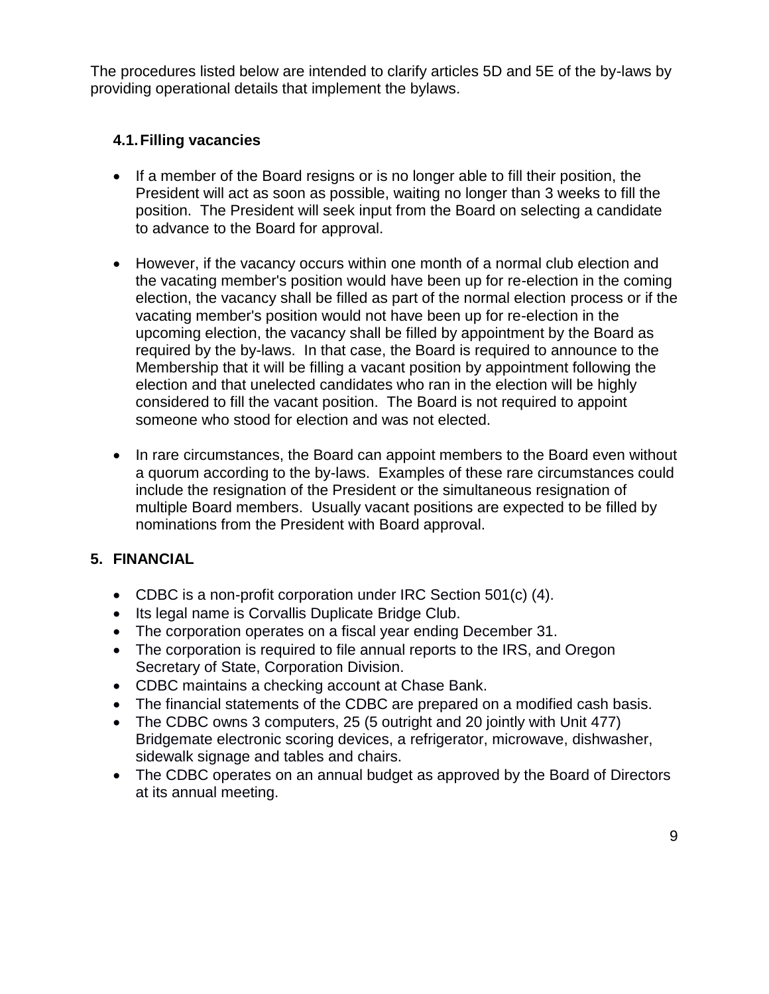The procedures listed below are intended to clarify articles 5D and 5E of the by-laws by providing operational details that implement the bylaws.

#### <span id="page-8-0"></span>**4.1.Filling vacancies**

- If a member of the Board resigns or is no longer able to fill their position, the President will act as soon as possible, waiting no longer than 3 weeks to fill the position. The President will seek input from the Board on selecting a candidate to advance to the Board for approval.
- However, if the vacancy occurs within one month of a normal club election and the vacating member's position would have been up for re-election in the coming election, the vacancy shall be filled as part of the normal election process or if the vacating member's position would not have been up for re-election in the upcoming election, the vacancy shall be filled by appointment by the Board as required by the by-laws. In that case, the Board is required to announce to the Membership that it will be filling a vacant position by appointment following the election and that unelected candidates who ran in the election will be highly considered to fill the vacant position. The Board is not required to appoint someone who stood for election and was not elected.
- In rare circumstances, the Board can appoint members to the Board even without a quorum according to the by-laws. Examples of these rare circumstances could include the resignation of the President or the simultaneous resignation of multiple Board members. Usually vacant positions are expected to be filled by nominations from the President with Board approval.

#### <span id="page-8-1"></span>**5. FINANCIAL**

- CDBC is a non-profit corporation under IRC Section 501(c) (4).
- Its legal name is Corvallis Duplicate Bridge Club.
- The corporation operates on a fiscal year ending December 31.
- The corporation is required to file annual reports to the IRS, and Oregon Secretary of State, Corporation Division.
- CDBC maintains a checking account at Chase Bank.
- The financial statements of the CDBC are prepared on a modified cash basis.
- The CDBC owns 3 computers, 25 (5 outright and 20 jointly with Unit 477) Bridgemate electronic scoring devices, a refrigerator, microwave, dishwasher, sidewalk signage and tables and chairs.
- The CDBC operates on an annual budget as approved by the Board of Directors at its annual meeting.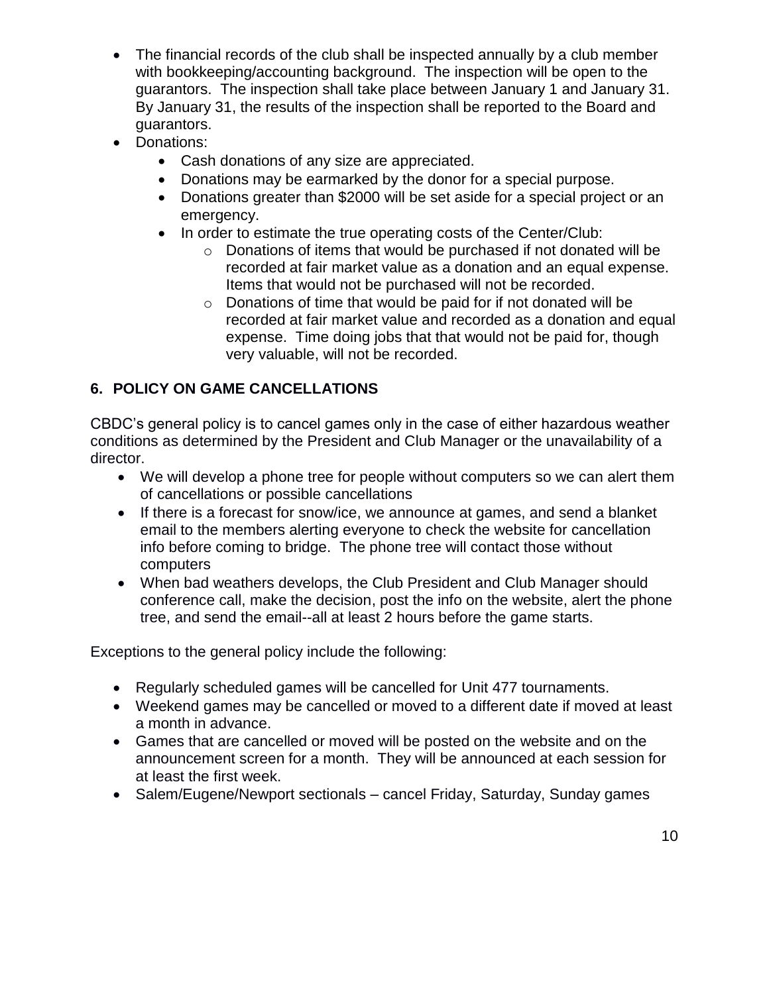- The financial records of the club shall be inspected annually by a club member with bookkeeping/accounting background. The inspection will be open to the guarantors. The inspection shall take place between January 1 and January 31. By January 31, the results of the inspection shall be reported to the Board and guarantors.
- Donations:
	- Cash donations of any size are appreciated.
	- Donations may be earmarked by the donor for a special purpose.
	- Donations greater than \$2000 will be set aside for a special project or an emergency.
	- In order to estimate the true operating costs of the Center/Club:
		- o Donations of items that would be purchased if not donated will be recorded at fair market value as a donation and an equal expense. Items that would not be purchased will not be recorded.
		- o Donations of time that would be paid for if not donated will be recorded at fair market value and recorded as a donation and equal expense. Time doing jobs that that would not be paid for, though very valuable, will not be recorded.

## <span id="page-9-0"></span>**6. POLICY ON GAME CANCELLATIONS**

CBDC's general policy is to cancel games only in the case of either hazardous weather conditions as determined by the President and Club Manager or the unavailability of a director.

- We will develop a phone tree for people without computers so we can alert them of cancellations or possible cancellations
- If there is a forecast for snow/ice, we announce at games, and send a blanket email to the members alerting everyone to check the website for cancellation info before coming to bridge. The phone tree will contact those without computers
- When bad weathers develops, the Club President and Club Manager should conference call, make the decision, post the info on the website, alert the phone tree, and send the email--all at least 2 hours before the game starts.

Exceptions to the general policy include the following:

- Regularly scheduled games will be cancelled for Unit 477 tournaments.
- Weekend games may be cancelled or moved to a different date if moved at least a month in advance.
- Games that are cancelled or moved will be posted on the website and on the announcement screen for a month. They will be announced at each session for at least the first week.
- Salem/Eugene/Newport sectionals cancel Friday, Saturday, Sunday games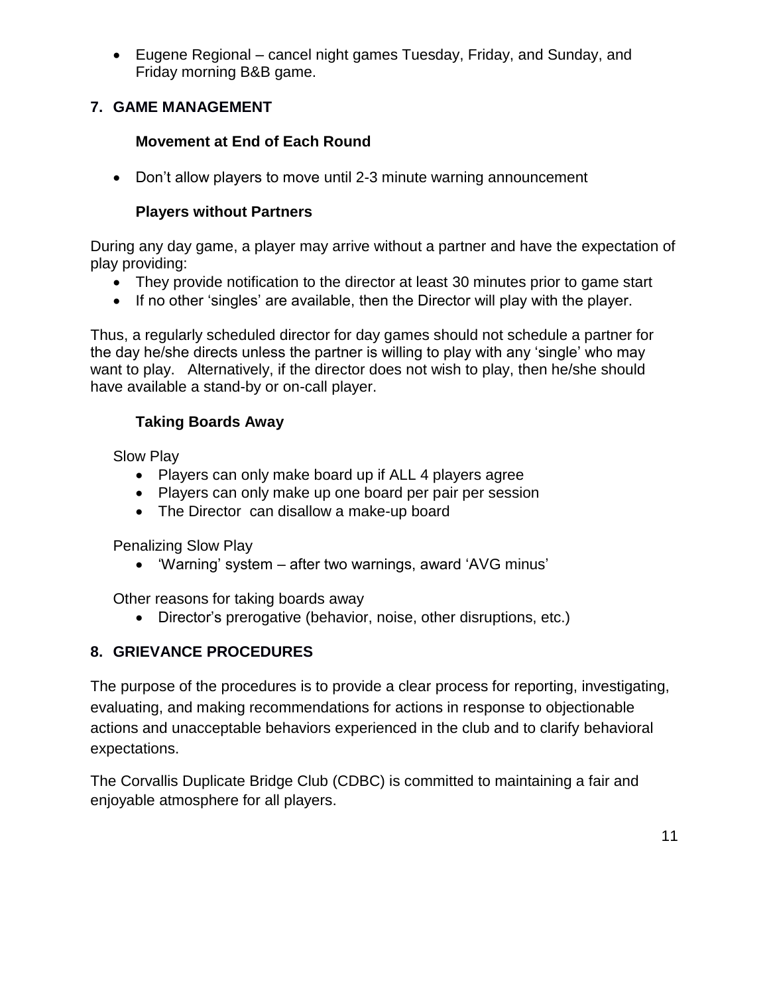Eugene Regional – cancel night games Tuesday, Friday, and Sunday, and Friday morning B&B game.

#### <span id="page-10-0"></span>**7. GAME MANAGEMENT**

## **Movement at End of Each Round**

Don't allow players to move until 2-3 minute warning announcement

#### **Players without Partners**

During any day game, a player may arrive without a partner and have the expectation of play providing:

- They provide notification to the director at least 30 minutes prior to game start
- If no other 'singles' are available, then the Director will play with the player.

Thus, a regularly scheduled director for day games should not schedule a partner for the day he/she directs unless the partner is willing to play with any 'single' who may want to play. Alternatively, if the director does not wish to play, then he/she should have available a stand-by or on-call player.

## **Taking Boards Away**

Slow Play

- Players can only make board up if ALL 4 players agree
- Players can only make up one board per pair per session
- The Director can disallow a make-up board

Penalizing Slow Play

'Warning' system – after two warnings, award 'AVG minus'

Other reasons for taking boards away

Director's prerogative (behavior, noise, other disruptions, etc.)

## <span id="page-10-1"></span>**8. GRIEVANCE PROCEDURES**

The purpose of the procedures is to provide a clear process for reporting, investigating, evaluating, and making recommendations for actions in response to objectionable actions and unacceptable behaviors experienced in the club and to clarify behavioral expectations.

The Corvallis Duplicate Bridge Club (CDBC) is committed to maintaining a fair and enjoyable atmosphere for all players.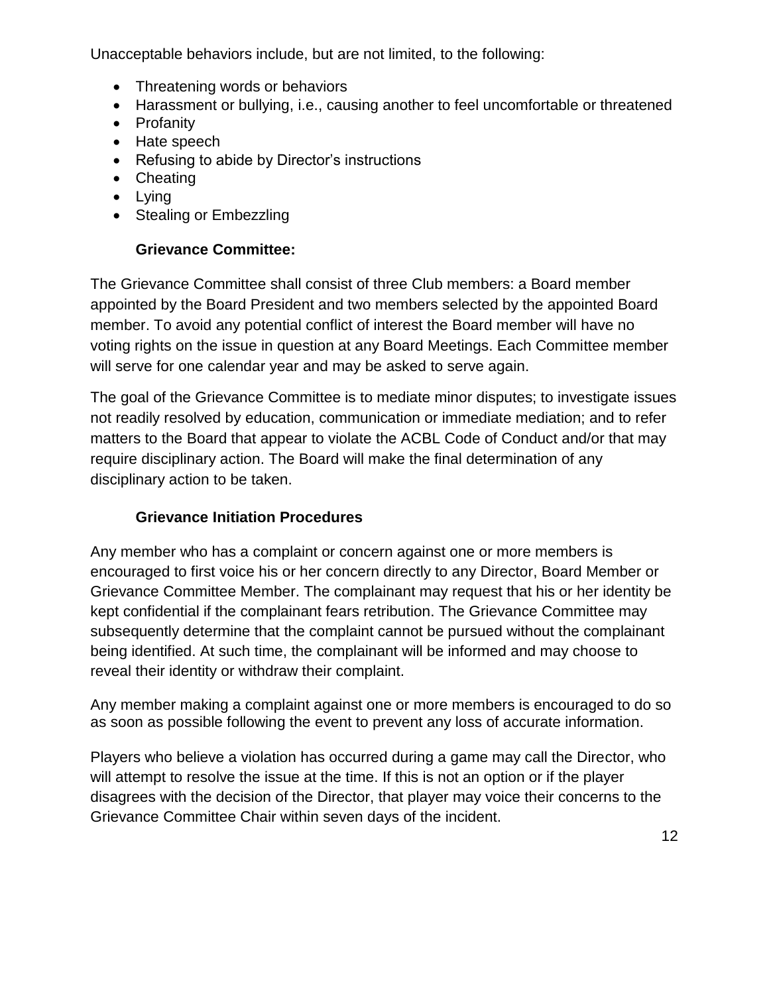Unacceptable behaviors include, but are not limited, to the following:

- Threatening words or behaviors
- Harassment or bullying, i.e., causing another to feel uncomfortable or threatened
- Profanity
- Hate speech
- Refusing to abide by Director's instructions
- Cheating
- Lying
- Stealing or Embezzling

## **Grievance Committee:**

The Grievance Committee shall consist of three Club members: a Board member appointed by the Board President and two members selected by the appointed Board member. To avoid any potential conflict of interest the Board member will have no voting rights on the issue in question at any Board Meetings. Each Committee member will serve for one calendar year and may be asked to serve again.

The goal of the Grievance Committee is to mediate minor disputes; to investigate issues not readily resolved by education, communication or immediate mediation; and to refer matters to the Board that appear to violate the ACBL Code of Conduct and/or that may require disciplinary action. The Board will make the final determination of any disciplinary action to be taken.

## **Grievance Initiation Procedures**

Any member who has a complaint or concern against one or more members is encouraged to first voice his or her concern directly to any Director, Board Member or Grievance Committee Member. The complainant may request that his or her identity be kept confidential if the complainant fears retribution. The Grievance Committee may subsequently determine that the complaint cannot be pursued without the complainant being identified. At such time, the complainant will be informed and may choose to reveal their identity or withdraw their complaint.

Any member making a complaint against one or more members is encouraged to do so as soon as possible following the event to prevent any loss of accurate information.

Players who believe a violation has occurred during a game may call the Director, who will attempt to resolve the issue at the time. If this is not an option or if the player disagrees with the decision of the Director, that player may voice their concerns to the Grievance Committee Chair within seven days of the incident.